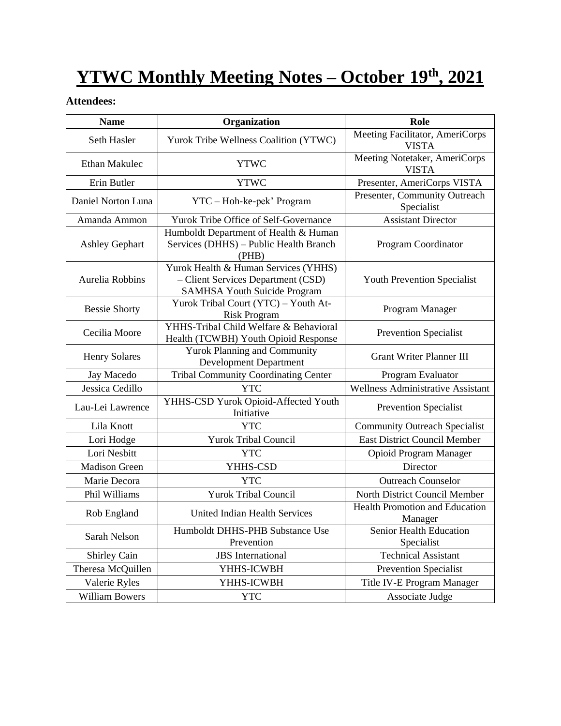# **YTWC Monthly Meeting Notes – October 19th, 2021**

#### **Attendees:**

| <b>Name</b>           | Organization                                                                                                      | Role                                             |
|-----------------------|-------------------------------------------------------------------------------------------------------------------|--------------------------------------------------|
| Seth Hasler           | Yurok Tribe Wellness Coalition (YTWC)                                                                             | Meeting Facilitator, AmeriCorps<br><b>VISTA</b>  |
| <b>Ethan Makulec</b>  | <b>YTWC</b>                                                                                                       | Meeting Notetaker, AmeriCorps<br><b>VISTA</b>    |
| Erin Butler           | <b>YTWC</b>                                                                                                       | Presenter, AmeriCorps VISTA                      |
| Daniel Norton Luna    | YTC - Hoh-ke-pek' Program                                                                                         | Presenter, Community Outreach<br>Specialist      |
| Amanda Ammon          | Yurok Tribe Office of Self-Governance                                                                             | <b>Assistant Director</b>                        |
| <b>Ashley Gephart</b> | Humboldt Department of Health & Human<br>Services (DHHS) - Public Health Branch<br>(PHB)                          | Program Coordinator                              |
| Aurelia Robbins       | Yurok Health & Human Services (YHHS)<br>- Client Services Department (CSD)<br><b>SAMHSA Youth Suicide Program</b> | Youth Prevention Specialist                      |
| <b>Bessie Shorty</b>  | Yurok Tribal Court (YTC) - Youth At-<br><b>Risk Program</b>                                                       | Program Manager                                  |
| Cecilia Moore         | YHHS-Tribal Child Welfare & Behavioral<br>Health (TCWBH) Youth Opioid Response                                    | <b>Prevention Specialist</b>                     |
| <b>Henry Solares</b>  | <b>Yurok Planning and Community</b><br><b>Development Department</b>                                              | <b>Grant Writer Planner III</b>                  |
| Jay Macedo            | <b>Tribal Community Coordinating Center</b>                                                                       | Program Evaluator                                |
| Jessica Cedillo       | <b>YTC</b>                                                                                                        | <b>Wellness Administrative Assistant</b>         |
| Lau-Lei Lawrence      | YHHS-CSD Yurok Opioid-Affected Youth<br>Initiative                                                                | Prevention Specialist                            |
| Lila Knott            | <b>YTC</b>                                                                                                        | <b>Community Outreach Specialist</b>             |
| Lori Hodge            | <b>Yurok Tribal Council</b>                                                                                       | <b>East District Council Member</b>              |
| Lori Nesbitt          | <b>YTC</b>                                                                                                        | Opioid Program Manager                           |
| <b>Madison Green</b>  | YHHS-CSD                                                                                                          | Director                                         |
| Marie Decora          | <b>YTC</b>                                                                                                        | <b>Outreach Counselor</b>                        |
| Phil Williams         | <b>Yurok Tribal Council</b>                                                                                       | North District Council Member                    |
| Rob England           | United Indian Health Services                                                                                     | <b>Health Promotion and Education</b><br>Manager |
| Sarah Nelson          | Humboldt DHHS-PHB Substance Use<br>Prevention                                                                     | Senior Health Education<br>Specialist            |
| <b>Shirley Cain</b>   | <b>JBS</b> International                                                                                          | <b>Technical Assistant</b>                       |
| Theresa McQuillen     | YHHS-ICWBH                                                                                                        | <b>Prevention Specialist</b>                     |
| Valerie Ryles         | YHHS-ICWBH                                                                                                        | Title IV-E Program Manager                       |
| <b>William Bowers</b> | <b>YTC</b>                                                                                                        | Associate Judge                                  |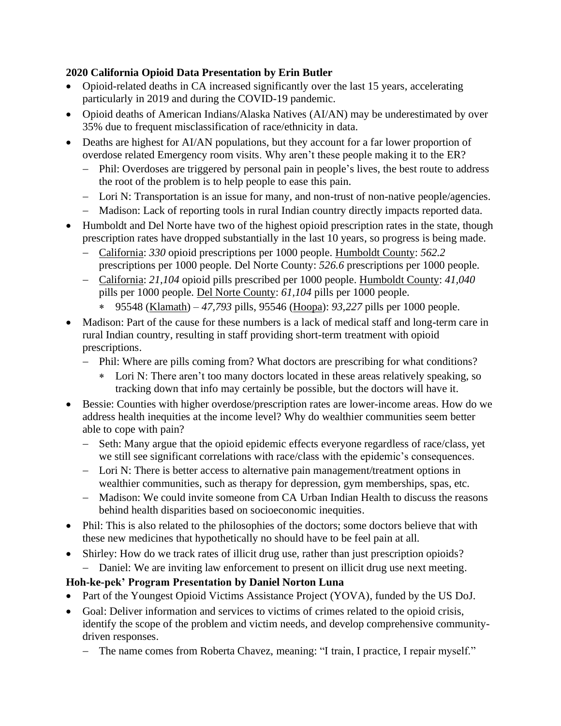#### **2020 California Opioid Data Presentation by Erin Butler**

- Opioid-related deaths in CA increased significantly over the last 15 years, accelerating particularly in 2019 and during the COVID-19 pandemic.
- Opioid deaths of American Indians/Alaska Natives (AI/AN) may be underestimated by over 35% due to frequent misclassification of race/ethnicity in data.
- Deaths are highest for AI/AN populations, but they account for a far lower proportion of overdose related Emergency room visits. Why aren't these people making it to the ER?
	- − Phil: Overdoses are triggered by personal pain in people's lives, the best route to address the root of the problem is to help people to ease this pain.
	- − Lori N: Transportation is an issue for many, and non-trust of non-native people/agencies.
	- − Madison: Lack of reporting tools in rural Indian country directly impacts reported data.
- Humboldt and Del Norte have two of the highest opioid prescription rates in the state, though prescription rates have dropped substantially in the last 10 years, so progress is being made.
	- − California: *330* opioid prescriptions per 1000 people. Humboldt County: *562.2*  prescriptions per 1000 people. Del Norte County: *526.6* prescriptions per 1000 people.
	- − California: *21,104* opioid pills prescribed per 1000 people. Humboldt County: *41,040* pills per 1000 people. Del Norte County: *61,104* pills per 1000 people.
		- 95548 (Klamath) *47,793* pills, 95546 (Hoopa): *93,227* pills per 1000 people.
- Madison: Part of the cause for these numbers is a lack of medical staff and long-term care in rural Indian country, resulting in staff providing short-term treatment with opioid prescriptions.
	- − Phil: Where are pills coming from? What doctors are prescribing for what conditions?
		- Lori N: There aren't too many doctors located in these areas relatively speaking, so tracking down that info may certainly be possible, but the doctors will have it.
- Bessie: Counties with higher overdose/prescription rates are lower-income areas. How do we address health inequities at the income level? Why do wealthier communities seem better able to cope with pain?
	- − Seth: Many argue that the opioid epidemic effects everyone regardless of race/class, yet we still see significant correlations with race/class with the epidemic's consequences.
	- − Lori N: There is better access to alternative pain management/treatment options in wealthier communities, such as therapy for depression, gym memberships, spas, etc.
	- − Madison: We could invite someone from CA Urban Indian Health to discuss the reasons behind health disparities based on socioeconomic inequities.
- Phil: This is also related to the philosophies of the doctors; some doctors believe that with these new medicines that hypothetically no should have to be feel pain at all.
- Shirley: How do we track rates of illicit drug use, rather than just prescription opioids? − Daniel: We are inviting law enforcement to present on illicit drug use next meeting.

#### **Hoh-ke-pek' Program Presentation by Daniel Norton Luna**

- Part of the Youngest Opioid Victims Assistance Project (YOVA), funded by the US DoJ.
- Goal: Deliver information and services to victims of crimes related to the opioid crisis, identify the scope of the problem and victim needs, and develop comprehensive communitydriven responses.
	- − The name comes from Roberta Chavez, meaning: "I train, I practice, I repair myself."